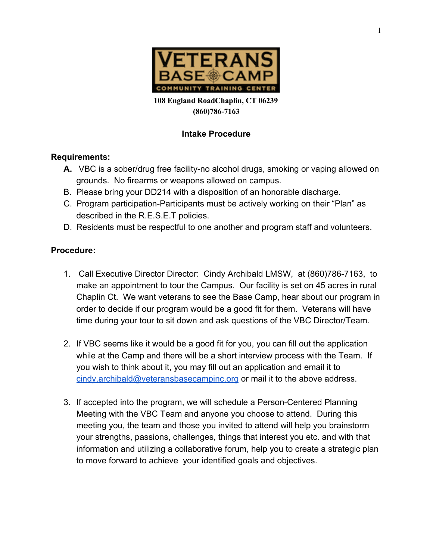

**108 England RoadChaplin, CT 06239 (860)786-7163**

# **Intake Procedure**

## **Requirements:**

- **A.** VBC is a sober/drug free facility-no alcohol drugs, smoking or vaping allowed on grounds. No firearms or weapons allowed on campus.
- B. Please bring your DD214 with a disposition of an honorable discharge.
- C. Program participation-Participants must be actively working on their "Plan" as described in the R.E.S.E.T policies.
- D. Residents must be respectful to one another and program staff and volunteers.

# **Procedure:**

- 1. Call Executive Director Director: Cindy Archibald LMSW, at (860)786-7163, to make an appointment to tour the Campus. Our facility is set on 45 acres in rural Chaplin Ct. We want veterans to see the Base Camp, hear about our program in order to decide if our program would be a good fit for them. Veterans will have time during your tour to sit down and ask questions of the VBC Director/Team.
- 2. If VBC seems like it would be a good fit for you, you can fill out the application while at the Camp and there will be a short interview process with the Team. If you wish to think about it, you may fill out an application and email it to [cindy.archibald@veteransbasecampinc.org](mailto:carchibald@veteransbasecamp.org) or mail it to the above address.
- 3. If accepted into the program, we will schedule a Person-Centered Planning Meeting with the VBC Team and anyone you choose to attend. During this meeting you, the team and those you invited to attend will help you brainstorm your strengths, passions, challenges, things that interest you etc. and with that information and utilizing a collaborative forum, help you to create a strategic plan to move forward to achieve your identified goals and objectives.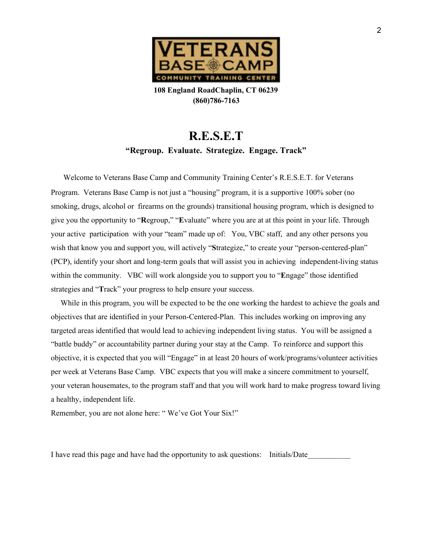

**108 England RoadChaplin, CT 06239 (860)786-7163**

# **R.E.S.E.T "Regroup. Evaluate. Strategize. Engage. Track"**

 Welcome to Veterans Base Camp and Community Training Center's R.E.S.E.T. for Veterans Program. Veterans Base Camp is not just a "housing" program, it is a supportive 100% sober (no smoking, drugs, alcohol or firearms on the grounds) transitional housing program, which is designed to give you the opportunity to "**R**egroup," "**E**valuate" where you are at at this point in your life. Through your active participation with your "team" made up of: You, VBC staff, and any other persons you wish that know you and support you, will actively "Strategize," to create your "person-centered-plan" (PCP), identify your short and long-term goals that will assist you in achieving independent-living status within the community. VBC will work alongside you to support you to "**E**ngage" those identified strategies and "**T**rack" your progress to help ensure your success.

While in this program, you will be expected to be the one working the hardest to achieve the goals and objectives that are identified in your Person-Centered-Plan. This includes working on improving any targeted areas identified that would lead to achieving independent living status. You will be assigned a "battle buddy" or accountability partner during your stay at the Camp. To reinforce and support this objective, it is expected that you will "Engage" in at least 20 hours of work/programs/volunteer activities per week at Veterans Base Camp. VBC expects that you will make a sincere commitment to yourself, your veteran housemates, to the program staff and that you will work hard to make progress toward living a healthy, independent life.

Remember, you are not alone here: " We've Got Your Six!"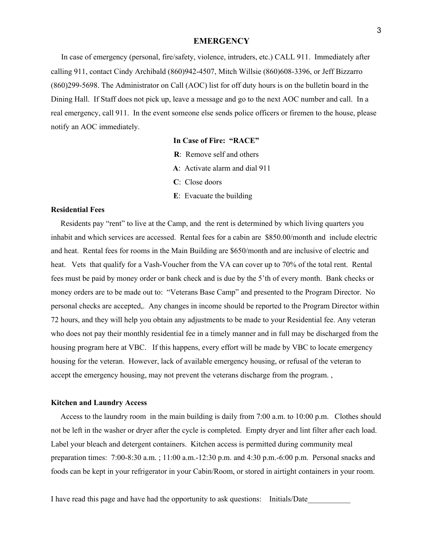#### **EMERGENCY**

In case of emergency (personal, fire/safety, violence, intruders, etc.) CALL 911. Immediately after calling 911, contact Cindy Archibald (860)942-4507, Mitch Willsie (860)608-3396, or Jeff Bizzarro (860)299-5698. The Administrator on Call (AOC) list for off duty hours is on the bulletin board in the Dining Hall. If Staff does not pick up, leave a message and go to the next AOC number and call. In a real emergency, call 911. In the event someone else sends police officers or firemen to the house, please notify an AOC immediately.

**In Case of Fire: "RACE"**

- **R**: Remove self and others
- **A**: Activate alarm and dial 911
- **C**: Close doors
- **E**: Evacuate the building

## **Residential Fees**

Residents pay "rent" to live at the Camp, and the rent is determined by which living quarters you inhabit and which services are accessed. Rental fees for a cabin are \$850.00/month and include electric and heat. Rental fees for rooms in the Main Building are \$650/month and are inclusive of electric and heat. Vets that qualify for a Vash-Voucher from the VA can cover up to 70% of the total rent. Rental fees must be paid by money order or bank check and is due by the 5'th of every month. Bank checks or money orders are to be made out to: "Veterans Base Camp" and presented to the Program Director. No personal checks are accepted,. Any changes in income should be reported to the Program Director within 72 hours, and they will help you obtain any adjustments to be made to your Residential fee. Any veteran who does not pay their monthly residential fee in a timely manner and in full may be discharged from the housing program here at VBC. If this happens, every effort will be made by VBC to locate emergency housing for the veteran. However, lack of available emergency housing, or refusal of the veteran to accept the emergency housing, may not prevent the veterans discharge from the program. ,

## **Kitchen and Laundry Access**

Access to the laundry room in the main building is daily from 7:00 a.m. to 10:00 p.m. Clothes should not be left in the washer or dryer after the cycle is completed. Empty dryer and lint filter after each load. Label your bleach and detergent containers. Kitchen access is permitted during community meal preparation times: 7:00-8:30 a.m. ; 11:00 a.m.-12:30 p.m. and 4:30 p.m.-6:00 p.m. Personal snacks and foods can be kept in your refrigerator in your Cabin/Room, or stored in airtight containers in your room.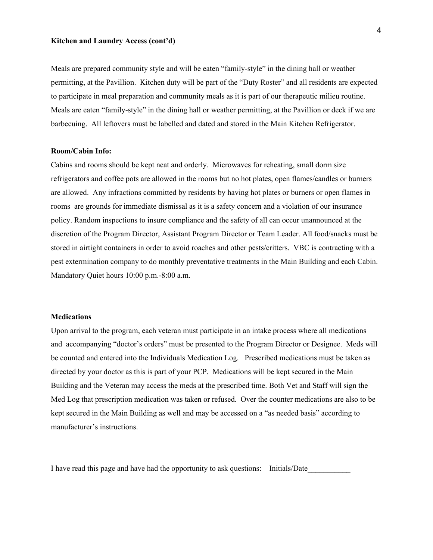#### **Kitchen and Laundry Access (cont'd)**

Meals are prepared community style and will be eaten "family-style" in the dining hall or weather permitting, at the Pavillion. Kitchen duty will be part of the "Duty Roster" and all residents are expected to participate in meal preparation and community meals as it is part of our therapeutic milieu routine. Meals are eaten "family-style" in the dining hall or weather permitting, at the Pavillion or deck if we are barbecuing. All leftovers must be labelled and dated and stored in the Main Kitchen Refrigerator.

## **Room/Cabin Info:**

Cabins and rooms should be kept neat and orderly. Microwaves for reheating, small dorm size refrigerators and coffee pots are allowed in the rooms but no hot plates, open flames/candles or burners are allowed. Any infractions committed by residents by having hot plates or burners or open flames in rooms are grounds for immediate dismissal as it is a safety concern and a violation of our insurance policy. Random inspections to insure compliance and the safety of all can occur unannounced at the discretion of the Program Director, Assistant Program Director or Team Leader. All food/snacks must be stored in airtight containers in order to avoid roaches and other pests/critters. VBC is contracting with a pest extermination company to do monthly preventative treatments in the Main Building and each Cabin. Mandatory Quiet hours 10:00 p.m.-8:00 a.m.

## **Medications**

Upon arrival to the program, each veteran must participate in an intake process where all medications and accompanying "doctor's orders" must be presented to the Program Director or Designee. Meds will be counted and entered into the Individuals Medication Log. Prescribed medications must be taken as directed by your doctor as this is part of your PCP. Medications will be kept secured in the Main Building and the Veteran may access the meds at the prescribed time. Both Vet and Staff will sign the Med Log that prescription medication was taken or refused. Over the counter medications are also to be kept secured in the Main Building as well and may be accessed on a "as needed basis" according to manufacturer's instructions.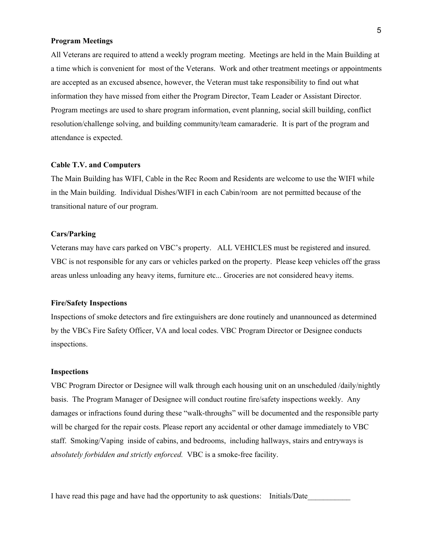#### **Program Meetings**

All Veterans are required to attend a weekly program meeting. Meetings are held in the Main Building at a time which is convenient for most of the Veterans. Work and other treatment meetings or appointments are accepted as an excused absence, however, the Veteran must take responsibility to find out what information they have missed from either the Program Director, Team Leader or Assistant Director. Program meetings are used to share program information, event planning, social skill building, conflict resolution/challenge solving, and building community/team camaraderie. It is part of the program and attendance is expected.

## **Cable T.V. and Computers**

The Main Building has WIFI, Cable in the Rec Room and Residents are welcome to use the WIFI while in the Main building. Individual Dishes/WIFI in each Cabin/room are not permitted because of the transitional nature of our program.

#### **Cars/Parking**

Veterans may have cars parked on VBC's property. ALL VEHICLES must be registered and insured. VBC is not responsible for any cars or vehicles parked on the property. Please keep vehicles off the grass areas unless unloading any heavy items, furniture etc... Groceries are not considered heavy items.

## **Fire/Safety Inspections**

Inspections of smoke detectors and fire extinguishers are done routinely and unannounced as determined by the VBCs Fire Safety Officer, VA and local codes. VBC Program Director or Designee conducts inspections.

#### **Inspections**

VBC Program Director or Designee will walk through each housing unit on an unscheduled /daily/nightly basis. The Program Manager of Designee will conduct routine fire/safety inspections weekly. Any damages or infractions found during these "walk-throughs" will be documented and the responsible party will be charged for the repair costs. Please report any accidental or other damage immediately to VBC staff. Smoking/Vaping inside of cabins, and bedrooms, including hallways, stairs and entryways is *absolutely forbidden and strictly enforced.* VBC is a smoke-free facility.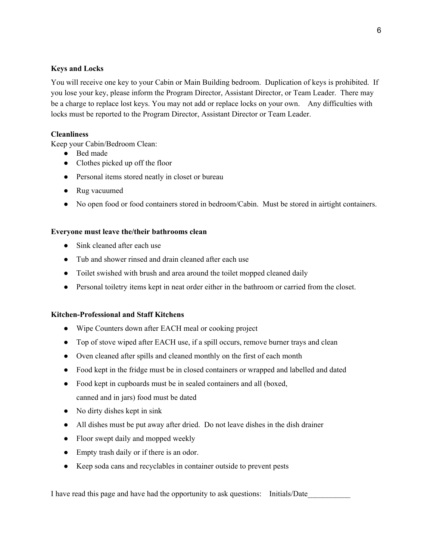## **Keys and Locks**

You will receive one key to your Cabin or Main Building bedroom. Duplication of keys is prohibited. If you lose your key, please inform the Program Director, Assistant Director, or Team Leader. There may be a charge to replace lost keys. You may not add or replace locks on your own. Any difficulties with locks must be reported to the Program Director, Assistant Director or Team Leader.

## **Cleanliness**

Keep your Cabin/Bedroom Clean:

- Bed made
- Clothes picked up off the floor
- Personal items stored neatly in closet or bureau
- Rug vacuumed
- No open food or food containers stored in bedroom/Cabin. Must be stored in airtight containers.

## **Everyone must leave the/their bathrooms clean**

- Sink cleaned after each use
- Tub and shower rinsed and drain cleaned after each use
- Toilet swished with brush and area around the toilet mopped cleaned daily
- Personal toiletry items kept in neat order either in the bathroom or carried from the closet.

## **Kitchen-Professional and Staff Kitchens**

- Wipe Counters down after EACH meal or cooking project
- Top of stove wiped after EACH use, if a spill occurs, remove burner trays and clean
- Oven cleaned after spills and cleaned monthly on the first of each month
- Food kept in the fridge must be in closed containers or wrapped and labelled and dated
- Food kept in cupboards must be in sealed containers and all (boxed, canned and in jars) food must be dated
- No dirty dishes kept in sink
- All dishes must be put away after dried. Do not leave dishes in the dish drainer
- Floor swept daily and mopped weekly
- Empty trash daily or if there is an odor.
- Keep soda cans and recyclables in container outside to prevent pests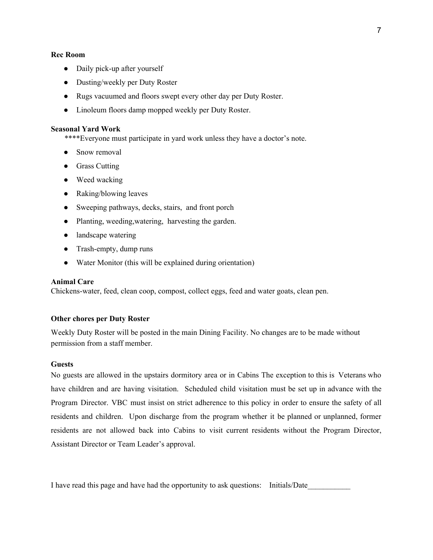## **Rec Room**

- Daily pick-up after yourself
- Dusting/weekly per Duty Roster
- Rugs vacuumed and floors swept every other day per Duty Roster.
- Linoleum floors damp mopped weekly per Duty Roster.

## **Seasonal Yard Work**

\*\*\*\*Everyone must participate in yard work unless they have a doctor's note.

- Snow removal
- Grass Cutting
- Weed wacking
- Raking/blowing leaves
- Sweeping pathways, decks, stairs, and front porch
- Planting, weeding,watering, harvesting the garden.
- landscape watering
- Trash-empty, dump runs
- Water Monitor (this will be explained during orientation)

#### **Animal Care**

Chickens-water, feed, clean coop, compost, collect eggs, feed and water goats, clean pen.

## **Other chores per Duty Roster**

Weekly Duty Roster will be posted in the main Dining Facility. No changes are to be made without permission from a staff member.

#### **Guests**

No guests are allowed in the upstairs dormitory area or in Cabins The exception to this is Veterans who have children and are having visitation. Scheduled child visitation must be set up in advance with the Program Director. VBC must insist on strict adherence to this policy in order to ensure the safety of all residents and children. Upon discharge from the program whether it be planned or unplanned, former residents are not allowed back into Cabins to visit current residents without the Program Director, Assistant Director or Team Leader's approval.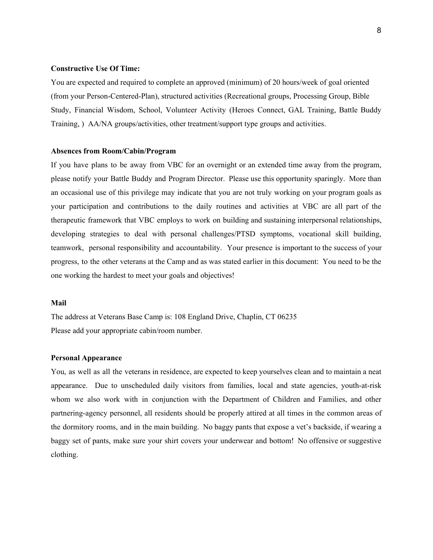## **Constructive Use Of Time:**

You are expected and required to complete an approved (minimum) of 20 hours/week of goal oriented (from your Person-Centered-Plan), structured activities (Recreational groups, Processing Group, Bible Study, Financial Wisdom, School, Volunteer Activity (Heroes Connect, GAL Training, Battle Buddy Training, ) AA/NA groups/activities, other treatment/support type groups and activities.

## **Absences from Room/Cabin/Program**

If you have plans to be away from VBC for an overnight or an extended time away from the program, please notify your Battle Buddy and Program Director. Please use this opportunity sparingly. More than an occasional use of this privilege may indicate that you are not truly working on your program goals as your participation and contributions to the daily routines and activities at VBC are all part of the therapeutic framework that VBC employs to work on building and sustaining interpersonal relationships, developing strategies to deal with personal challenges/PTSD symptoms, vocational skill building, teamwork, personal responsibility and accountability. Your presence is important to the success of your progress, to the other veterans at the Camp and as was stated earlier in this document: You need to be the one working the hardest to meet your goals and objectives!

## **Mail**

The address at Veterans Base Camp is: 108 England Drive, Chaplin, CT 06235 Please add your appropriate cabin/room number.

#### **Personal Appearance**

You, as well as all the veterans in residence, are expected to keep yourselves clean and to maintain a neat appearance. Due to unscheduled daily visitors from families, local and state agencies, youth-at-risk whom we also work with in conjunction with the Department of Children and Families, and other partnering-agency personnel, all residents should be properly attired at all times in the common areas of the dormitory rooms, and in the main building. No baggy pants that expose a vet's backside, if wearing a baggy set of pants, make sure your shirt covers your underwear and bottom! No offensive or suggestive clothing.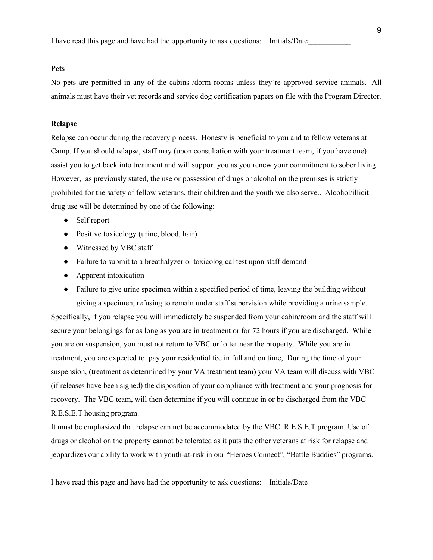I have read this page and have had the opportunity to ask questions: Initials/Date\_\_\_\_\_\_\_\_\_\_\_

## **Pets**

No pets are permitted in any of the cabins /dorm rooms unless they're approved service animals. All animals must have their vet records and service dog certification papers on file with the Program Director.

## **Relapse**

Relapse can occur during the recovery process. Honesty is beneficial to you and to fellow veterans at Camp. If you should relapse, staff may (upon consultation with your treatment team, if you have one) assist you to get back into treatment and will support you as you renew your commitment to sober living. However, as previously stated, the use or possession of drugs or alcohol on the premises is strictly prohibited for the safety of fellow veterans, their children and the youth we also serve.. Alcohol/illicit drug use will be determined by one of the following:

- Self report
- Positive toxicology (urine, blood, hair)
- Witnessed by VBC staff
- Failure to submit to a breathalyzer or toxicological test upon staff demand
- Apparent intoxication
- Failure to give urine specimen within a specified period of time, leaving the building without giving a specimen, refusing to remain under staff supervision while providing a urine sample.

Specifically, if you relapse you will immediately be suspended from your cabin/room and the staff will secure your belongings for as long as you are in treatment or for 72 hours if you are discharged. While you are on suspension, you must not return to VBC or loiter near the property. While you are in treatment, you are expected to pay your residential fee in full and on time, During the time of your suspension, (treatment as determined by your VA treatment team) your VA team will discuss with VBC (if releases have been signed) the disposition of your compliance with treatment and your prognosis for recovery. The VBC team, will then determine if you will continue in or be discharged from the VBC R.E.S.E.T housing program.

It must be emphasized that relapse can not be accommodated by the VBC R.E.S.E.T program. Use of drugs or alcohol on the property cannot be tolerated as it puts the other veterans at risk for relapse and jeopardizes our ability to work with youth-at-risk in our "Heroes Connect", "Battle Buddies" programs.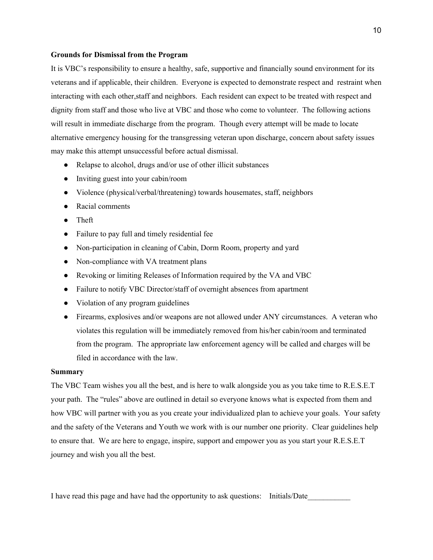#### **Grounds for Dismissal from the Program**

It is VBC's responsibility to ensure a healthy, safe, supportive and financially sound environment for its veterans and if applicable, their children. Everyone is expected to demonstrate respect and restraint when interacting with each other,staff and neighbors. Each resident can expect to be treated with respect and dignity from staff and those who live at VBC and those who come to volunteer. The following actions will result in immediate discharge from the program. Though every attempt will be made to locate alternative emergency housing for the transgressing veteran upon discharge, concern about safety issues may make this attempt unsuccessful before actual dismissal.

- Relapse to alcohol, drugs and/or use of other illicit substances
- Inviting guest into your cabin/room
- Violence (physical/verbal/threatening) towards housemates, staff, neighbors
- Racial comments
- Theft
- Failure to pay full and timely residential fee
- Non-participation in cleaning of Cabin, Dorm Room, property and yard
- Non-compliance with VA treatment plans
- Revoking or limiting Releases of Information required by the VA and VBC
- Failure to notify VBC Director/staff of overnight absences from apartment
- Violation of any program guidelines
- Firearms, explosives and/or weapons are not allowed under ANY circumstances. A veteran who violates this regulation will be immediately removed from his/her cabin/room and terminated from the program. The appropriate law enforcement agency will be called and charges will be filed in accordance with the law.

#### **Summary**

The VBC Team wishes you all the best, and is here to walk alongside you as you take time to R.E.S.E.T your path. The "rules" above are outlined in detail so everyone knows what is expected from them and how VBC will partner with you as you create your individualized plan to achieve your goals. Your safety and the safety of the Veterans and Youth we work with is our number one priority. Clear guidelines help to ensure that. We are here to engage, inspire, support and empower you as you start your R.E.S.E.T journey and wish you all the best.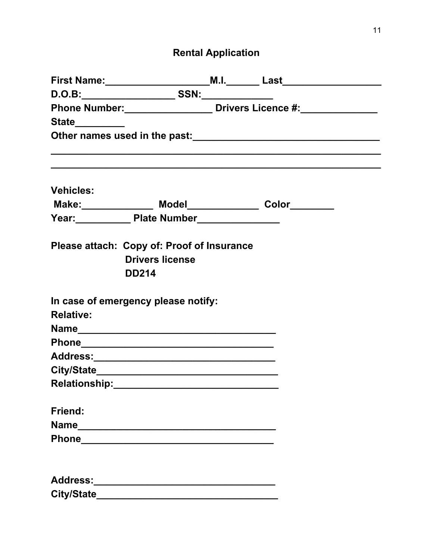# **Rental Application**

|                   |                                                          | First Name:__________________________M.I._________Last__________________________ |
|-------------------|----------------------------------------------------------|----------------------------------------------------------------------------------|
|                   |                                                          |                                                                                  |
|                   |                                                          | Phone Number: _______________________ Drivers Licence #: ________________        |
| State__________   |                                                          |                                                                                  |
|                   |                                                          |                                                                                  |
|                   |                                                          |                                                                                  |
|                   |                                                          |                                                                                  |
| <b>Vehicles:</b>  |                                                          |                                                                                  |
|                   | Make: _______________ Model______________ Color_________ |                                                                                  |
|                   | Year: Plate Number                                       |                                                                                  |
|                   | Please attach: Copy of: Proof of Insurance               |                                                                                  |
|                   | <b>Drivers license</b>                                   |                                                                                  |
|                   | <b>DD214</b>                                             |                                                                                  |
|                   | In case of emergency please notify:                      |                                                                                  |
| <b>Relative:</b>  |                                                          |                                                                                  |
|                   |                                                          |                                                                                  |
|                   |                                                          |                                                                                  |
|                   |                                                          |                                                                                  |
|                   |                                                          |                                                                                  |
|                   |                                                          |                                                                                  |
| <b>Friend:</b>    |                                                          |                                                                                  |
|                   |                                                          |                                                                                  |
|                   |                                                          |                                                                                  |
|                   |                                                          |                                                                                  |
|                   |                                                          |                                                                                  |
| City/State_______ |                                                          |                                                                                  |